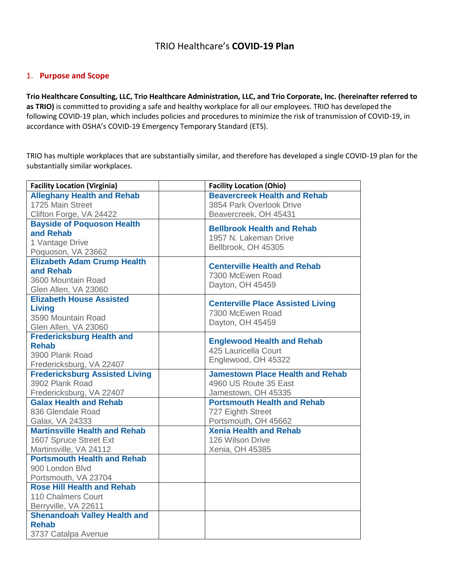# TRIO Healthcare's **COVID-19 Plan**

## 1. **Purpose and Scope**

**Trio Healthcare Consulting, LLC, Trio Healthcare Administration, LLC, and Trio Corporate, Inc. (hereinafter referred to as TRIO)** is committed to providing a safe and healthy workplace for all our employees. TRIO has developed the following COVID-19 plan, which includes policies and procedures to minimize the risk of transmission of COVID-19, in accordance with OSHA's COVID-19 Emergency Temporary Standard (ETS).

TRIO has multiple workplaces that are substantially similar, and therefore has developed a single COVID-19 plan for the substantially similar workplaces.

| <b>Facility Location (Virginia)</b>   | <b>Facility Location (Ohio)</b>          |
|---------------------------------------|------------------------------------------|
| <b>Alleghany Health and Rehab</b>     | <b>Beavercreek Health and Rehab</b>      |
| 1725 Main Street                      | 3854 Park Overlook Drive                 |
| Clifton Forge, VA 24422               | Beavercreek, OH 45431                    |
| <b>Bayside of Poquoson Health</b>     | <b>Bellbrook Health and Rehab</b>        |
| and Rehab                             | 1957 N. Lakeman Drive                    |
| 1 Vantage Drive                       | Bellbrook, OH 45305                      |
| Poquoson, VA 23662                    |                                          |
| <b>Elizabeth Adam Crump Health</b>    | <b>Centerville Health and Rehab</b>      |
| and Rehab                             | 7300 McEwen Road                         |
| 3600 Mountain Road                    | Dayton, OH 45459                         |
| Glen Allen, VA 23060                  |                                          |
| <b>Elizabeth House Assisted</b>       | <b>Centerville Place Assisted Living</b> |
| <b>Living</b>                         | 7300 McEwen Road                         |
| 3590 Mountain Road                    | Dayton, OH 45459                         |
| Glen Allen, VA 23060                  |                                          |
| <b>Fredericksburg Health and</b>      | <b>Englewood Health and Rehab</b>        |
| <b>Rehab</b>                          | 425 Lauricella Court                     |
| 3900 Plank Road                       | Englewood, OH 45322                      |
| Fredericksburg, VA 22407              |                                          |
| <b>Fredericksburg Assisted Living</b> | <b>Jamestown Place Health and Rehab</b>  |
| 3902 Plank Road                       | 4960 US Route 35 East                    |
| Fredericksburg, VA 22407              | Jamestown, OH 45335                      |
| <b>Galax Health and Rehab</b>         | <b>Portsmouth Health and Rehab</b>       |
| 836 Glendale Road                     | 727 Eighth Street                        |
| Galax, VA 24333                       | Portsmouth, OH 45662                     |
| <b>Martinsville Health and Rehab</b>  | <b>Xenia Health and Rehab</b>            |
| 1607 Spruce Street Ext                | 126 Wilson Drive                         |
| Martinsville, VA 24112                | Xenia, OH 45385                          |
| <b>Portsmouth Health and Rehab</b>    |                                          |
| 900 London Blvd                       |                                          |
| Portsmouth, VA 23704                  |                                          |
| <b>Rose Hill Health and Rehab</b>     |                                          |
| <b>110 Chalmers Court</b>             |                                          |
| Berryville, VA 22611                  |                                          |
| <b>Shenandoah Valley Health and</b>   |                                          |
| <b>Rehab</b>                          |                                          |
| 3737 Catalpa Avenue                   |                                          |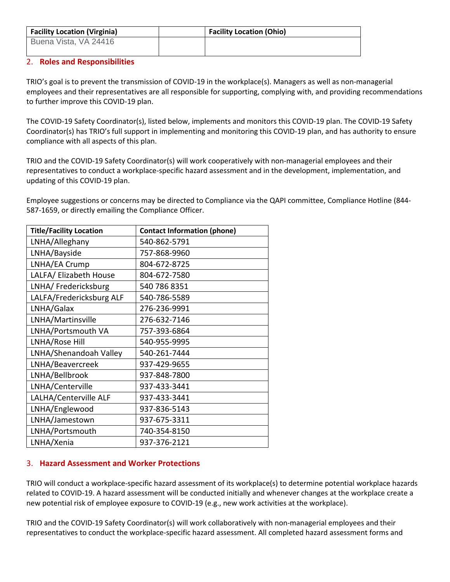| <b>Facility Location (Virginia)</b> | <b>Facility Location (Ohio)</b> |
|-------------------------------------|---------------------------------|
| Buena Vista, VA 24416               |                                 |

## 2. **Roles and Responsibilities**

TRIO's goal is to prevent the transmission of COVID-19 in the workplace(s). Managers as well as non-managerial employees and their representatives are all responsible for supporting, complying with, and providing recommendations to further improve this COVID-19 plan.

The COVID-19 Safety Coordinator(s), listed below, implements and monitors this COVID-19 plan. The COVID-19 Safety Coordinator(s) has TRIO's full support in implementing and monitoring this COVID-19 plan, and has authority to ensure compliance with all aspects of this plan.

TRIO and the COVID-19 Safety Coordinator(s) will work cooperatively with non-managerial employees and their representatives to conduct a workplace-specific hazard assessment and in the development, implementation, and updating of this COVID-19 plan.

Employee suggestions or concerns may be directed to Compliance via the QAPI committee, Compliance Hotline (844- 587-1659, or directly emailing the Compliance Officer.

| <b>Title/Facility Location</b> | <b>Contact Information (phone)</b> |
|--------------------------------|------------------------------------|
| LNHA/Alleghany                 | 540-862-5791                       |
| LNHA/Bayside                   | 757-868-9960                       |
| LNHA/EA Crump                  | 804-672-8725                       |
| LALFA/ Elizabeth House         | 804-672-7580                       |
| LNHA/ Fredericksburg           | 540 786 8351                       |
| LALFA/Fredericksburg ALF       | 540-786-5589                       |
| LNHA/Galax                     | 276-236-9991                       |
| LNHA/Martinsville              | 276-632-7146                       |
| LNHA/Portsmouth VA             | 757-393-6864                       |
| LNHA/Rose Hill                 | 540-955-9995                       |
| LNHA/Shenandoah Valley         | 540-261-7444                       |
| LNHA/Beavercreek               | 937-429-9655                       |
| LNHA/Bellbrook                 | 937-848-7800                       |
| LNHA/Centerville               | 937-433-3441                       |
| LALHA/Centerville ALF          | 937-433-3441                       |
| LNHA/Englewood                 | 937-836-5143                       |
| LNHA/Jamestown                 | 937-675-3311                       |
| LNHA/Portsmouth                | 740-354-8150                       |
| LNHA/Xenia                     | 937-376-2121                       |

# 3. **Hazard Assessment and Worker Protections**

TRIO will conduct a workplace-specific hazard assessment of its workplace(s) to determine potential workplace hazards related to COVID-19. A hazard assessment will be conducted initially and whenever changes at the workplace create a new potential risk of employee exposure to COVID-19 (e.g., new work activities at the workplace).

TRIO and the COVID-19 Safety Coordinator(s) will work collaboratively with non-managerial employees and their representatives to conduct the workplace-specific hazard assessment. All completed hazard assessment forms and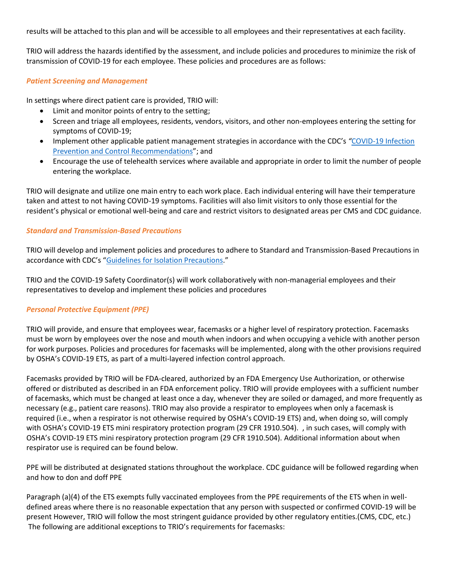results will be attached to this plan and will be accessible to all employees and their representatives at each facility.

TRIO will address the hazards identified by the assessment, and include policies and procedures to minimize the risk of transmission of COVID-19 for each employee. These policies and procedures are as follows:

### *Patient Screening and Management*

In settings where direct patient care is provided, TRIO will:

- Limit and monitor points of entry to the setting;
- Screen and triage all employees, residents, vendors, visitors, and other non-employees entering the setting for symptoms of COVID-19;
- Implement other applicable patient management strategies in accordance with the CDC's "COVID-19 Infection [Prevention and Control Recommendations](https://www.osha.gov/sites/default/files/CDC)"; and
- Encourage the use of telehealth services where available and appropriate in order to limit the number of people entering the workplace.

TRIO will designate and utilize one main entry to each work place. Each individual entering will have their temperature taken and attest to not having COVID-19 symptoms. Facilities will also limit visitors to only those essential for the resident's physical or emotional well-being and care and restrict visitors to designated areas per CMS and CDC guidance.

### *Standard and Transmission-Based Precautions*

TRIO will develop and implement policies and procedures to adhere to Standard and Transmission-Based Precautions in accordance with CDC's "[Guidelines for Isolation Precautions](https://www.osha.gov/sites/default/files/CDC)."

TRIO and the COVID-19 Safety Coordinator(s) will work collaboratively with non-managerial employees and their representatives to develop and implement these policies and procedures

# *Personal Protective Equipment (PPE)*

TRIO will provide, and ensure that employees wear, facemasks or a higher level of respiratory protection. Facemasks must be worn by employees over the nose and mouth when indoors and when occupying a vehicle with another person for work purposes. Policies and procedures for facemasks will be implemented, along with the other provisions required by OSHA's COVID-19 ETS, as part of a multi-layered infection control approach.

Facemasks provided by TRIO will be FDA-cleared, authorized by an FDA Emergency Use Authorization, or otherwise offered or distributed as described in an FDA enforcement policy. TRIO will provide employees with a sufficient number of facemasks, which must be changed at least once a day, whenever they are soiled or damaged, and more frequently as necessary (e.g., patient care reasons). TRIO may also provide a respirator to employees when only a facemask is required (i.e., when a respirator is not otherwise required by OSHA's COVID-19 ETS) and, when doing so, will comply with OSHA's COVID-19 ETS mini respiratory protection program (29 CFR 1910.504). , in such cases, will comply with OSHA's COVID-19 ETS mini respiratory protection program (29 CFR 1910.504). Additional information about when respirator use is required can be found below.

PPE will be distributed at designated stations throughout the workplace. CDC guidance will be followed regarding when and how to don and doff PPE

Paragraph (a)(4) of the ETS exempts fully vaccinated employees from the PPE requirements of the ETS when in welldefined areas where there is no reasonable expectation that any person with suspected or confirmed COVID-19 will be present However, TRIO will follow the most stringent guidance provided by other regulatory entities.(CMS, CDC, etc.) The following are additional exceptions to TRIO's requirements for facemasks: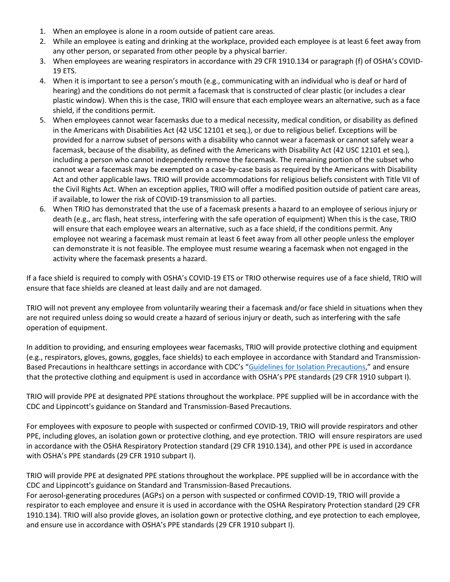- 1. When an employee is alone in a room outside of patient care areas.
- 2. While an employee is eating and drinking at the workplace, provided each employee is at least 6 feet away from any other person, or separated from other people by a physical barrier.
- 3. When employees are wearing respirators in accordance with 29 CFR 1910.134 or paragraph (f) of OSHA's COVID-19 ETS.
- 4. When it is important to see a person's mouth (e.g., communicating with an individual who is deaf or hard of hearing) and the conditions do not permit a facemask that is constructed of clear plastic (or includes a clear plastic window). When this is the case, TRIO will ensure that each employee wears an alternative, such as a face shield, if the conditions permit.
- 5. When employees cannot wear facemasks due to a medical necessity, medical condition, or disability as defined in the Americans with Disabilities Act (42 USC 12101 et seq.), or due to religious belief. Exceptions will be provided for a narrow subset of persons with a disability who cannot wear a facemask or cannot safely wear a facemask, because of the disability, as defined with the Americans with Disability Act (42 USC 12101 et seq.), including a person who cannot independently remove the facemask. The remaining portion of the subset who cannot wear a facemask may be exempted on a case-by-case basis as required by the Americans with Disability Act and other applicable laws. TRIO will provide accommodations for religious beliefs consistent with Title VII of the Civil Rights Act. When an exception applies, TRIO will offer a modified position outside of patient care areas, if available, to lower the risk of COVID-19 transmission to all parties.
- 6. When TRIO has demonstrated that the use of a facemask presents a hazard to an employee of serious injury or death (e.g., arc flash, heat stress, interfering with the safe operation of equipment) When this is the case, TRIO will ensure that each employee wears an alternative, such as a face shield, if the conditions permit. Any employee not wearing a facemask must remain at least 6 feet away from all other people unless the employer can demonstrate it is not feasible. The employee must resume wearing a facemask when not engaged in the activity where the facemask presents a hazard.

If a face shield is required to comply with OSHA's COVID-19 ETS or TRIO otherwise requires use of a face shield, TRIO will ensure that face shields are cleaned at least daily and are not damaged.

TRIO will not prevent any employee from voluntarily wearing their a facemask and/or face shield in situations when they are not required unless doing so would create a hazard of serious injury or death, such as interfering with the safe operation of equipment.

In addition to providing, and ensuring employees wear facemasks, TRIO will provide protective clothing and equipment (e.g., respirators, gloves, gowns, goggles, face shields) to each employee in accordance with Standard and Transmission-Based Precautions in healthcare settings in accordance with CDC's "[Guidelines for Isolation Precautions](https://www.osha.gov/sites/default/files/CDC)," and ensure that the protective clothing and equipment is used in accordance with OSHA's PPE standards (29 CFR 1910 subpart I).

TRIO will provide PPE at designated PPE stations throughout the workplace. PPE supplied will be in accordance with the CDC and Lippincott's guidance on Standard and Transmission-Based Precautions.

For employees with exposure to people with suspected or confirmed COVID-19, TRIO will provide respirators and other PPE, including gloves, an isolation gown or protective clothing, and eye protection. TRIO will ensure respirators are used in accordance with the OSHA Respiratory Protection standard (29 CFR 1910.134), and other PPE is used in accordance with OSHA's PPE standards (29 CFR 1910 subpart I).

TRIO will provide PPE at designated PPE stations throughout the workplace. PPE supplied will be in accordance with the CDC and Lippincott's guidance on Standard and Transmission-Based Precautions.

For aerosol-generating procedures (AGPs) on a person with suspected or confirmed COVID-19, TRIO will provide a respirator to each employee and ensure it is used in accordance with the OSHA Respiratory Protection standard (29 CFR 1910.134). TRIO will also provide gloves, an isolation gown or protective clothing, and eye protection to each employee, and ensure use in accordance with OSHA's PPE standards (29 CFR 1910 subpart I).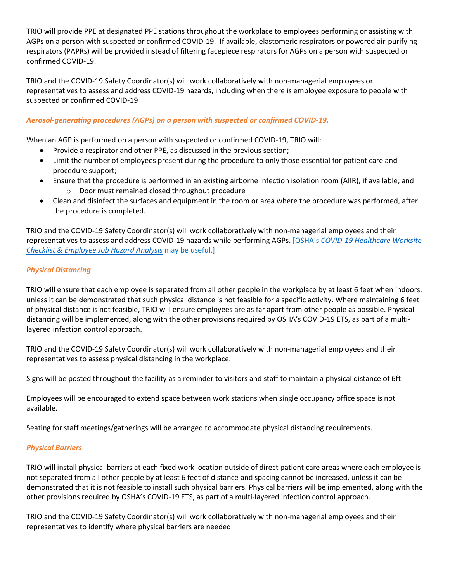TRIO will provide PPE at designated PPE stations throughout the workplace to employees performing or assisting with AGPs on a person with suspected or confirmed COVID-19. If available, elastomeric respirators or powered air-purifying respirators (PAPRs) will be provided instead of filtering facepiece respirators for AGPs on a person with suspected or confirmed COVID-19.

TRIO and the COVID-19 Safety Coordinator(s) will work collaboratively with non-managerial employees or representatives to assess and address COVID-19 hazards, including when there is employee exposure to people with suspected or confirmed COVID-19

## *Aerosol-generating procedures (AGPs) on a person with suspected or confirmed COVID-19.*

When an AGP is performed on a person with suspected or confirmed COVID-19, TRIO will:

- Provide a respirator and other PPE, as discussed in the previous section;
- Limit the number of employees present during the procedure to only those essential for patient care and procedure support;
- Ensure that the procedure is performed in an existing airborne infection isolation room (AIIR), if available; and o Door must remained closed throughout procedure
- Clean and disinfect the surfaces and equipment in the room or area where the procedure was performed, after the procedure is completed.

TRIO and the COVID-19 Safety Coordinator(s) will work collaboratively with non-managerial employees and their representatives to assess and address COVID-19 hazards while performing AGPs. [OSHA's *[COVID-19 Healthcare Worksite](https://www.osha.gov/sites/default/files/COVID-19_Healthcare_ETS_Worksite_Checklist_Employee_Job_Hazard_Analysis.pdf)  [Checklist & Employee Job Hazard Analysis](https://www.osha.gov/sites/default/files/COVID-19_Healthcare_ETS_Worksite_Checklist_Employee_Job_Hazard_Analysis.pdf)* may be useful.]

## *Physical Distancing*

TRIO will ensure that each employee is separated from all other people in the workplace by at least 6 feet when indoors, unless it can be demonstrated that such physical distance is not feasible for a specific activity. Where maintaining 6 feet of physical distance is not feasible, TRIO will ensure employees are as far apart from other people as possible. Physical distancing will be implemented, along with the other provisions required by OSHA's COVID-19 ETS, as part of a multilayered infection control approach.

TRIO and the COVID-19 Safety Coordinator(s) will work collaboratively with non-managerial employees and their representatives to assess physical distancing in the workplace.

Signs will be posted throughout the facility as a reminder to visitors and staff to maintain a physical distance of 6ft.

Employees will be encouraged to extend space between work stations when single occupancy office space is not available.

Seating for staff meetings/gatherings will be arranged to accommodate physical distancing requirements.

### *Physical Barriers*

TRIO will install physical barriers at each fixed work location outside of direct patient care areas where each employee is not separated from all other people by at least 6 feet of distance and spacing cannot be increased, unless it can be demonstrated that it is not feasible to install such physical barriers. Physical barriers will be implemented, along with the other provisions required by OSHA's COVID-19 ETS, as part of a multi-layered infection control approach.

TRIO and the COVID-19 Safety Coordinator(s) will work collaboratively with non-managerial employees and their representatives to identify where physical barriers are needed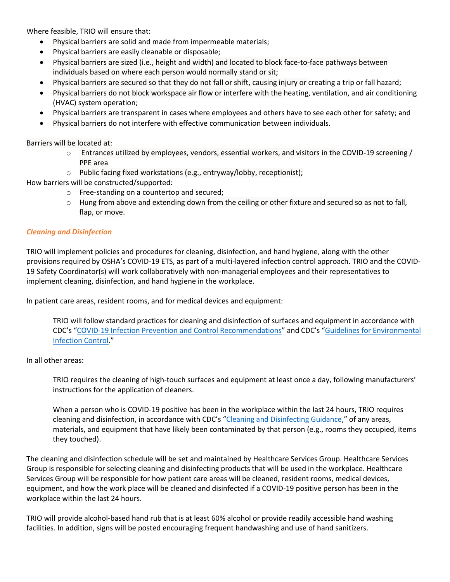Where feasible, TRIO will ensure that:

- Physical barriers are solid and made from impermeable materials;
- Physical barriers are easily cleanable or disposable;
- Physical barriers are sized (i.e., height and width) and located to block face-to-face pathways between individuals based on where each person would normally stand or sit;
- Physical barriers are secured so that they do not fall or shift, causing injury or creating a trip or fall hazard;
- Physical barriers do not block workspace air flow or interfere with the heating, ventilation, and air conditioning (HVAC) system operation;
- Physical barriers are transparent in cases where employees and others have to see each other for safety; and
- Physical barriers do not interfere with effective communication between individuals.

Barriers will be located at:

- o Entrances utilized by employees, vendors, essential workers, and visitors in the COVID-19 screening / PPE area
- o Public facing fixed workstations (e.g., entryway/lobby, receptionist);

How barriers will be constructed/supported:

- o Free-standing on a countertop and secured;
- $\circ$  Hung from above and extending down from the ceiling or other fixture and secured so as not to fall, flap, or move.

#### *Cleaning and Disinfection*

TRIO will implement policies and procedures for cleaning, disinfection, and hand hygiene, along with the other provisions required by OSHA's COVID-19 ETS, as part of a multi-layered infection control approach. TRIO and the COVID-19 Safety Coordinator(s) will work collaboratively with non-managerial employees and their representatives to implement cleaning, disinfection, and hand hygiene in the workplace.

In patient care areas, resident rooms, and for medical devices and equipment:

TRIO will follow standard practices for cleaning and disinfection of surfaces and equipment in accordance with CDC's "[COVID-19 Infection Prevention and Control Recommendations](https://www.osha.gov/sites/default/files/CDC)" and CDC's "[Guidelines for Environmental](https://www.osha.gov/sites/default/files/CDC)  [Infection Control](https://www.osha.gov/sites/default/files/CDC)."

### In all other areas:

TRIO requires the cleaning of high-touch surfaces and equipment at least once a day, following manufacturers' instructions for the application of cleaners.

When a person who is COVID-19 positive has been in the workplace within the last 24 hours, TRIO requires cleaning and disinfection, in accordance with CDC's "[Cleaning and Disinfecting Guidance](https://www.osha.gov/sites/default/files/CDC)," of any areas, materials, and equipment that have likely been contaminated by that person (e.g., rooms they occupied, items they touched).

The cleaning and disinfection schedule will be set and maintained by Healthcare Services Group. Healthcare Services Group is responsible for selecting cleaning and disinfecting products that will be used in the workplace. Healthcare Services Group will be responsible for how patient care areas will be cleaned, resident rooms, medical devices, equipment, and how the work place will be cleaned and disinfected if a COVID-19 positive person has been in the workplace within the last 24 hours.

TRIO will provide alcohol-based hand rub that is at least 60% alcohol or provide readily accessible hand washing facilities. In addition, signs will be posted encouraging frequent handwashing and use of hand sanitizers.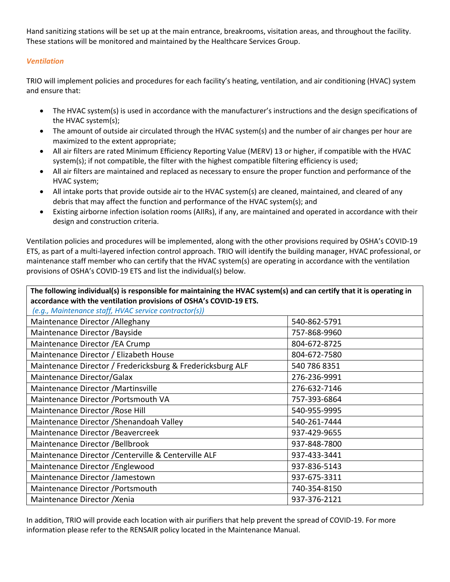Hand sanitizing stations will be set up at the main entrance, breakrooms, visitation areas, and throughout the facility. These stations will be monitored and maintained by the Healthcare Services Group.

# *Ventilation*

TRIO will implement policies and procedures for each facility's heating, ventilation, and air conditioning (HVAC) system and ensure that:

- The HVAC system(s) is used in accordance with the manufacturer's instructions and the design specifications of the HVAC system(s);
- The amount of outside air circulated through the HVAC system(s) and the number of air changes per hour are maximized to the extent appropriate;
- All air filters are rated Minimum Efficiency Reporting Value (MERV) 13 or higher, if compatible with the HVAC system(s); if not compatible, the filter with the highest compatible filtering efficiency is used;
- All air filters are maintained and replaced as necessary to ensure the proper function and performance of the HVAC system;
- All intake ports that provide outside air to the HVAC system(s) are cleaned, maintained, and cleared of any debris that may affect the function and performance of the HVAC system(s); and
- Existing airborne infection isolation rooms (AIIRs), if any, are maintained and operated in accordance with their design and construction criteria.

Ventilation policies and procedures will be implemented, along with the other provisions required by OSHA's COVID-19 ETS, as part of a multi-layered infection control approach. TRIO will identify the building manager, HVAC professional, or maintenance staff member who can certify that the HVAC system(s) are operating in accordance with the ventilation provisions of OSHA's COVID-19 ETS and list the individual(s) below.

**The following individual(s) is responsible for maintaining the HVAC system(s) and can certify that it is operating in accordance with the ventilation provisions of OSHA's COVID-19 ETS.**

*(e.g., Maintenance staff, HVAC service contractor(s))*

| Maintenance Director / Alleghany                           | 540-862-5791 |
|------------------------------------------------------------|--------------|
| Maintenance Director / Bayside                             | 757-868-9960 |
| Maintenance Director / EA Crump                            | 804-672-8725 |
| Maintenance Director / Elizabeth House                     | 804-672-7580 |
| Maintenance Director / Fredericksburg & Fredericksburg ALF | 540 786 8351 |
| Maintenance Director/Galax                                 | 276-236-9991 |
| Maintenance Director / Martinsville                        | 276-632-7146 |
| Maintenance Director / Portsmouth VA                       | 757-393-6864 |
| Maintenance Director / Rose Hill                           | 540-955-9995 |
| Maintenance Director / Shenandoah Valley                   | 540-261-7444 |
| Maintenance Director / Beavercreek                         | 937-429-9655 |
| Maintenance Director / Bellbrook                           | 937-848-7800 |
| Maintenance Director / Centerville & Centerville ALF       | 937-433-3441 |
| Maintenance Director / Englewood                           | 937-836-5143 |
| Maintenance Director /Jamestown                            | 937-675-3311 |
| Maintenance Director / Portsmouth                          | 740-354-8150 |
| Maintenance Director / Xenia                               | 937-376-2121 |

In addition, TRIO will provide each location with air purifiers that help prevent the spread of COVID-19. For more information please refer to the RENSAIR policy located in the Maintenance Manual.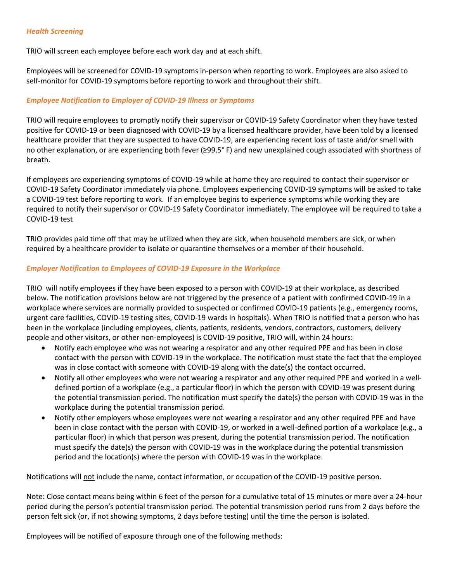### *Health Screening*

TRIO will screen each employee before each work day and at each shift.

Employees will be screened for COVID-19 symptoms in-person when reporting to work. Employees are also asked to self-monitor for COVID-19 symptoms before reporting to work and throughout their shift.

### *Employee Notification to Employer of COVID-19 Illness or Symptoms*

TRIO will require employees to promptly notify their supervisor or COVID-19 Safety Coordinator when they have tested positive for COVID-19 or been diagnosed with COVID-19 by a licensed healthcare provider, have been told by a licensed healthcare provider that they are suspected to have COVID-19, are experiencing recent loss of taste and/or smell with no other explanation, or are experiencing both fever (≥99.5° F) and new unexplained cough associated with shortness of breath.

If employees are experiencing symptoms of COVID-19 while at home they are required to contact their supervisor or COVID-19 Safety Coordinator immediately via phone. Employees experiencing COVID-19 symptoms will be asked to take a COVID-19 test before reporting to work. If an employee begins to experience symptoms while working they are required to notify their supervisor or COVID-19 Safety Coordinator immediately. The employee will be required to take a COVID-19 test

TRIO provides paid time off that may be utilized when they are sick, when household members are sick, or when required by a healthcare provider to isolate or quarantine themselves or a member of their household.

### *Employer Notification to Employees of COVID-19 Exposure in the Workplace*

TRIO will notify employees if they have been exposed to a person with COVID-19 at their workplace, as described below. The notification provisions below are not triggered by the presence of a patient with confirmed COVID-19 in a workplace where services are normally provided to suspected or confirmed COVID-19 patients (e.g., emergency rooms, urgent care facilities, COVID-19 testing sites, COVID-19 wards in hospitals). When TRIO is notified that a person who has been in the workplace (including employees, clients, patients, residents, vendors, contractors, customers, delivery people and other visitors, or other non-employees) is COVID-19 positive, TRIO will, within 24 hours:

- Notify each employee who was not wearing a respirator and any other required PPE and has been in close contact with the person with COVID-19 in the workplace. The notification must state the fact that the employee was in close contact with someone with COVID-19 along with the date(s) the contact occurred.
- Notify all other employees who were not wearing a respirator and any other required PPE and worked in a welldefined portion of a workplace (e.g., a particular floor) in which the person with COVID-19 was present during the potential transmission period. The notification must specify the date(s) the person with COVID-19 was in the workplace during the potential transmission period.
- Notify other employers whose employees were not wearing a respirator and any other required PPE and have been in close contact with the person with COVID-19, or worked in a well-defined portion of a workplace (e.g., a particular floor) in which that person was present, during the potential transmission period. The notification must specify the date(s) the person with COVID-19 was in the workplace during the potential transmission period and the location(s) where the person with COVID-19 was in the workplace.

Notifications will not include the name, contact information, or occupation of the COVID-19 positive person.

Note: Close contact means being within 6 feet of the person for a cumulative total of 15 minutes or more over a 24-hour period during the person's potential transmission period. The potential transmission period runs from 2 days before the person felt sick (or, if not showing symptoms, 2 days before testing) until the time the person is isolated.

Employees will be notified of exposure through one of the following methods: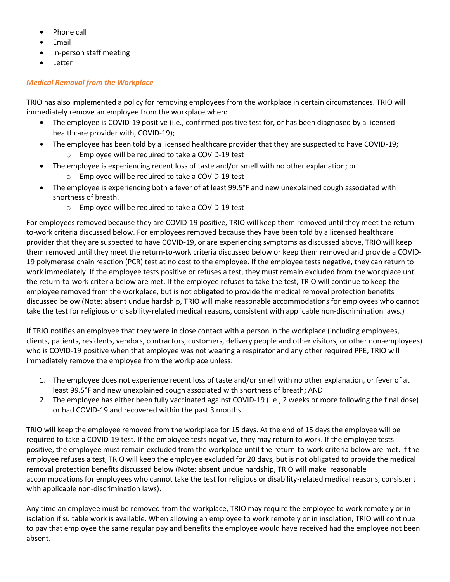- Phone call
- Email
- In-person staff meeting
- Letter

## *Medical Removal from the Workplace*

TRIO has also implemented a policy for removing employees from the workplace in certain circumstances. TRIO will immediately remove an employee from the workplace when:

- The employee is COVID-19 positive (i.e., confirmed positive test for, or has been diagnosed by a licensed healthcare provider with, COVID-19);
- The employee has been told by a licensed healthcare provider that they are suspected to have COVID-19; o Employee will be required to take a COVID-19 test
- The employee is experiencing recent loss of taste and/or smell with no other explanation; or
	- o Employee will be required to take a COVID-19 test
- The employee is experiencing both a fever of at least 99.5°F and new unexplained cough associated with shortness of breath.
	- o Employee will be required to take a COVID-19 test

For employees removed because they are COVID-19 positive, TRIO will keep them removed until they meet the returnto-work criteria discussed below. For employees removed because they have been told by a licensed healthcare provider that they are suspected to have COVID-19, or are experiencing symptoms as discussed above, TRIO will keep them removed until they meet the return-to-work criteria discussed below or keep them removed and provide a COVID-19 polymerase chain reaction (PCR) test at no cost to the employee. If the employee tests negative, they can return to work immediately. If the employee tests positive or refuses a test, they must remain excluded from the workplace until the return-to-work criteria below are met. If the employee refuses to take the test, TRIO will continue to keep the employee removed from the workplace, but is not obligated to provide the medical removal protection benefits discussed below (Note: absent undue hardship, TRIO will make reasonable accommodations for employees who cannot take the test for religious or disability-related medical reasons, consistent with applicable non-discrimination laws.)

If TRIO notifies an employee that they were in close contact with a person in the workplace (including employees, clients, patients, residents, vendors, contractors, customers, delivery people and other visitors, or other non-employees) who is COVID-19 positive when that employee was not wearing a respirator and any other required PPE, TRIO will immediately remove the employee from the workplace unless:

- 1. The employee does not experience recent loss of taste and/or smell with no other explanation, or fever of at least 99.5°F and new unexplained cough associated with shortness of breath; AND
- 2. The employee has either been fully vaccinated against COVID-19 (i.e., 2 weeks or more following the final dose) or had COVID-19 and recovered within the past 3 months.

TRIO will keep the employee removed from the workplace for 15 days. At the end of 15 days the employee will be required to take a COVID-19 test. If the employee tests negative, they may return to work. If the employee tests positive, the employee must remain excluded from the workplace until the return-to-work criteria below are met. If the employee refuses a test, TRIO will keep the employee excluded for 20 days, but is not obligated to provide the medical removal protection benefits discussed below (Note: absent undue hardship, TRIO will make reasonable accommodations for employees who cannot take the test for religious or disability-related medical reasons, consistent with applicable non-discrimination laws).

Any time an employee must be removed from the workplace, TRIO may require the employee to work remotely or in isolation if suitable work is available. When allowing an employee to work remotely or in insolation, TRIO will continue to pay that employee the same regular pay and benefits the employee would have received had the employee not been absent.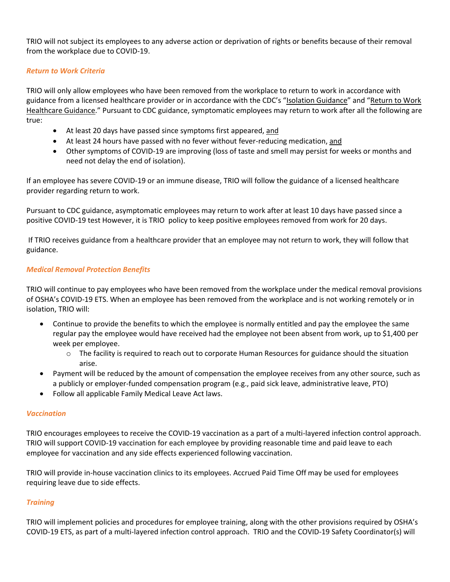TRIO will not subject its employees to any adverse action or deprivation of rights or benefits because of their removal from the workplace due to COVID-19.

## *Return to Work Criteria*

TRIO will only allow employees who have been removed from the workplace to return to work in accordance with guidance from a licensed healthcare provider or in accordance with the CDC's "[Isolation Guidance](https://www.osha.gov/sites/default/files/CDC)" and "[Return to Work](https://www.osha.gov/sites/default/files/CDC)  [Healthcare Guidance](https://www.osha.gov/sites/default/files/CDC)." Pursuant to CDC guidance, symptomatic employees may return to work after all the following are true:

- At least 20 days have passed since symptoms first appeared, and
- At least 24 hours have passed with no fever without fever-reducing medication, and
- Other symptoms of COVID-19 are improving (loss of taste and smell may persist for weeks or months and need not delay the end of isolation).

If an employee has severe COVID-19 or an immune disease, TRIO will follow the guidance of a licensed healthcare provider regarding return to work.

Pursuant to CDC guidance, asymptomatic employees may return to work after at least 10 days have passed since a positive COVID-19 test However, it is TRIO policy to keep positive employees removed from work for 20 days.

If TRIO receives guidance from a healthcare provider that an employee may not return to work, they will follow that guidance.

### *Medical Removal Protection Benefits*

TRIO will continue to pay employees who have been removed from the workplace under the medical removal provisions of OSHA's COVID-19 ETS. When an employee has been removed from the workplace and is not working remotely or in isolation, TRIO will:

- Continue to provide the benefits to which the employee is normally entitled and pay the employee the same regular pay the employee would have received had the employee not been absent from work, up to \$1,400 per week per employee.
	- o The facility is required to reach out to corporate Human Resources for guidance should the situation arise.
- Payment will be reduced by the amount of compensation the employee receives from any other source, such as a publicly or employer-funded compensation program (e.g., paid sick leave, administrative leave, PTO)
- Follow all applicable Family Medical Leave Act laws.

### *Vaccination*

TRIO encourages employees to receive the COVID-19 vaccination as a part of a multi-layered infection control approach. TRIO will support COVID-19 vaccination for each employee by providing reasonable time and paid leave to each employee for vaccination and any side effects experienced following vaccination.

TRIO will provide in-house vaccination clinics to its employees. Accrued Paid Time Off may be used for employees requiring leave due to side effects.

### *Training*

TRIO will implement policies and procedures for employee training, along with the other provisions required by OSHA's COVID-19 ETS, as part of a multi-layered infection control approach. TRIO and the COVID-19 Safety Coordinator(s) will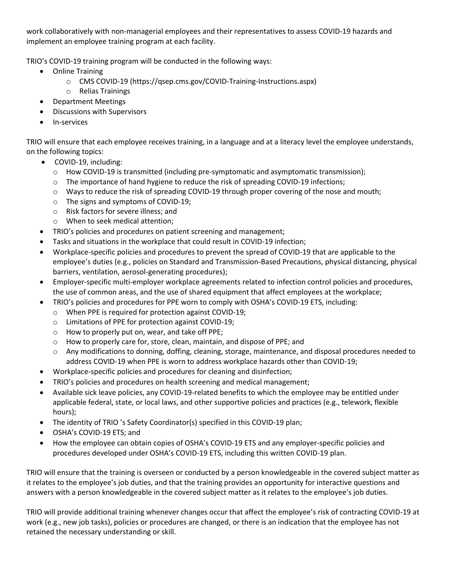work collaboratively with non-managerial employees and their representatives to assess COVID-19 hazards and implement an employee training program at each facility.

TRIO's COVID-19 training program will be conducted in the following ways:

- Online Training
	- o CMS COVID-19 (https://qsep.cms.gov/COVID-Training-Instructions.aspx)
	- o Relias Trainings
- Department Meetings
- Discussions with Supervisors
- In-services

TRIO will ensure that each employee receives training, in a language and at a literacy level the employee understands, on the following topics:

- COVID-19, including:
	- o How COVID-19 is transmitted (including pre-symptomatic and asymptomatic transmission);
	- o The importance of hand hygiene to reduce the risk of spreading COVID-19 infections;
	- $\circ$  Ways to reduce the risk of spreading COVID-19 through proper covering of the nose and mouth;
	- o The signs and symptoms of COVID-19;
	- o Risk factors for severe illness; and
	- o When to seek medical attention;
- TRIO's policies and procedures on patient screening and management;
- Tasks and situations in the workplace that could result in COVID-19 infection;
- Workplace-specific policies and procedures to prevent the spread of COVID-19 that are applicable to the employee's duties (e.g., policies on Standard and Transmission-Based Precautions, physical distancing, physical barriers, ventilation, aerosol-generating procedures);
- Employer-specific multi-employer workplace agreements related to infection control policies and procedures, the use of common areas, and the use of shared equipment that affect employees at the workplace;
- TRIO's policies and procedures for PPE worn to comply with OSHA's COVID-19 ETS, including:
	- o When PPE is required for protection against COVID-19;
	- o Limitations of PPE for protection against COVID-19;
	- o How to properly put on, wear, and take off PPE;
	- o How to properly care for, store, clean, maintain, and dispose of PPE; and
	- o Any modifications to donning, doffing, cleaning, storage, maintenance, and disposal procedures needed to address COVID-19 when PPE is worn to address workplace hazards other than COVID-19;
- Workplace-specific policies and procedures for cleaning and disinfection;
- TRIO's policies and procedures on health screening and medical management;
- Available sick leave policies, any COVID-19-related benefits to which the employee may be entitled under applicable federal, state, or local laws, and other supportive policies and practices (e.g., telework, flexible hours);
- The identity of TRIO 's Safety Coordinator(s) specified in this COVID-19 plan;
- OSHA's COVID-19 ETS; and
- How the employee can obtain copies of OSHA's COVID-19 ETS and any employer-specific policies and procedures developed under OSHA's COVID-19 ETS, including this written COVID-19 plan.

TRIO will ensure that the training is overseen or conducted by a person knowledgeable in the covered subject matter as it relates to the employee's job duties, and that the training provides an opportunity for interactive questions and answers with a person knowledgeable in the covered subject matter as it relates to the employee's job duties.

TRIO will provide additional training whenever changes occur that affect the employee's risk of contracting COVID-19 at work (e.g., new job tasks), policies or procedures are changed, or there is an indication that the employee has not retained the necessary understanding or skill.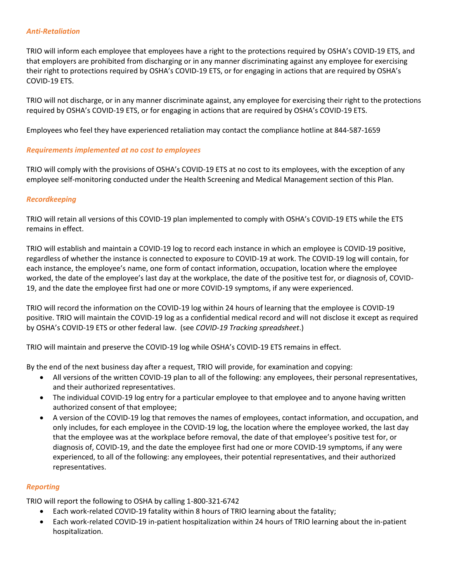#### *Anti-Retaliation*

TRIO will inform each employee that employees have a right to the protections required by OSHA's COVID-19 ETS, and that employers are prohibited from discharging or in any manner discriminating against any employee for exercising their right to protections required by OSHA's COVID-19 ETS, or for engaging in actions that are required by OSHA's COVID-19 ETS.

TRIO will not discharge, or in any manner discriminate against, any employee for exercising their right to the protections required by OSHA's COVID-19 ETS, or for engaging in actions that are required by OSHA's COVID-19 ETS.

Employees who feel they have experienced retaliation may contact the compliance hotline at 844-587-1659

#### *Requirements implemented at no cost to employees*

TRIO will comply with the provisions of OSHA's COVID-19 ETS at no cost to its employees, with the exception of any employee self-monitoring conducted under the Health Screening and Medical Management section of this Plan.

### *Recordkeeping*

TRIO will retain all versions of this COVID-19 plan implemented to comply with OSHA's COVID-19 ETS while the ETS remains in effect.

TRIO will establish and maintain a COVID-19 log to record each instance in which an employee is COVID-19 positive, regardless of whether the instance is connected to exposure to COVID-19 at work. The COVID-19 log will contain, for each instance, the employee's name, one form of contact information, occupation, location where the employee worked, the date of the employee's last day at the workplace, the date of the positive test for, or diagnosis of, COVID-19, and the date the employee first had one or more COVID-19 symptoms, if any were experienced.

TRIO will record the information on the COVID-19 log within 24 hours of learning that the employee is COVID-19 positive. TRIO will maintain the COVID-19 log as a confidential medical record and will not disclose it except as required by OSHA's COVID-19 ETS or other federal law. (see *COVID-19 Tracking spreadsheet*.)

TRIO will maintain and preserve the COVID-19 log while OSHA's COVID-19 ETS remains in effect.

By the end of the next business day after a request, TRIO will provide, for examination and copying:

- All versions of the written COVID-19 plan to all of the following: any employees, their personal representatives, and their authorized representatives.
- The individual COVID-19 log entry for a particular employee to that employee and to anyone having written authorized consent of that employee;
- A version of the COVID-19 log that removes the names of employees, contact information, and occupation, and only includes, for each employee in the COVID-19 log, the location where the employee worked, the last day that the employee was at the workplace before removal, the date of that employee's positive test for, or diagnosis of, COVID-19, and the date the employee first had one or more COVID-19 symptoms, if any were experienced, to all of the following: any employees, their potential representatives, and their authorized representatives.

### *Reporting*

TRIO will report the following to OSHA by calling 1-800-321-6742

- Each work-related COVID-19 fatality within 8 hours of TRIO learning about the fatality;
- Each work-related COVID-19 in-patient hospitalization within 24 hours of TRIO learning about the in-patient hospitalization.